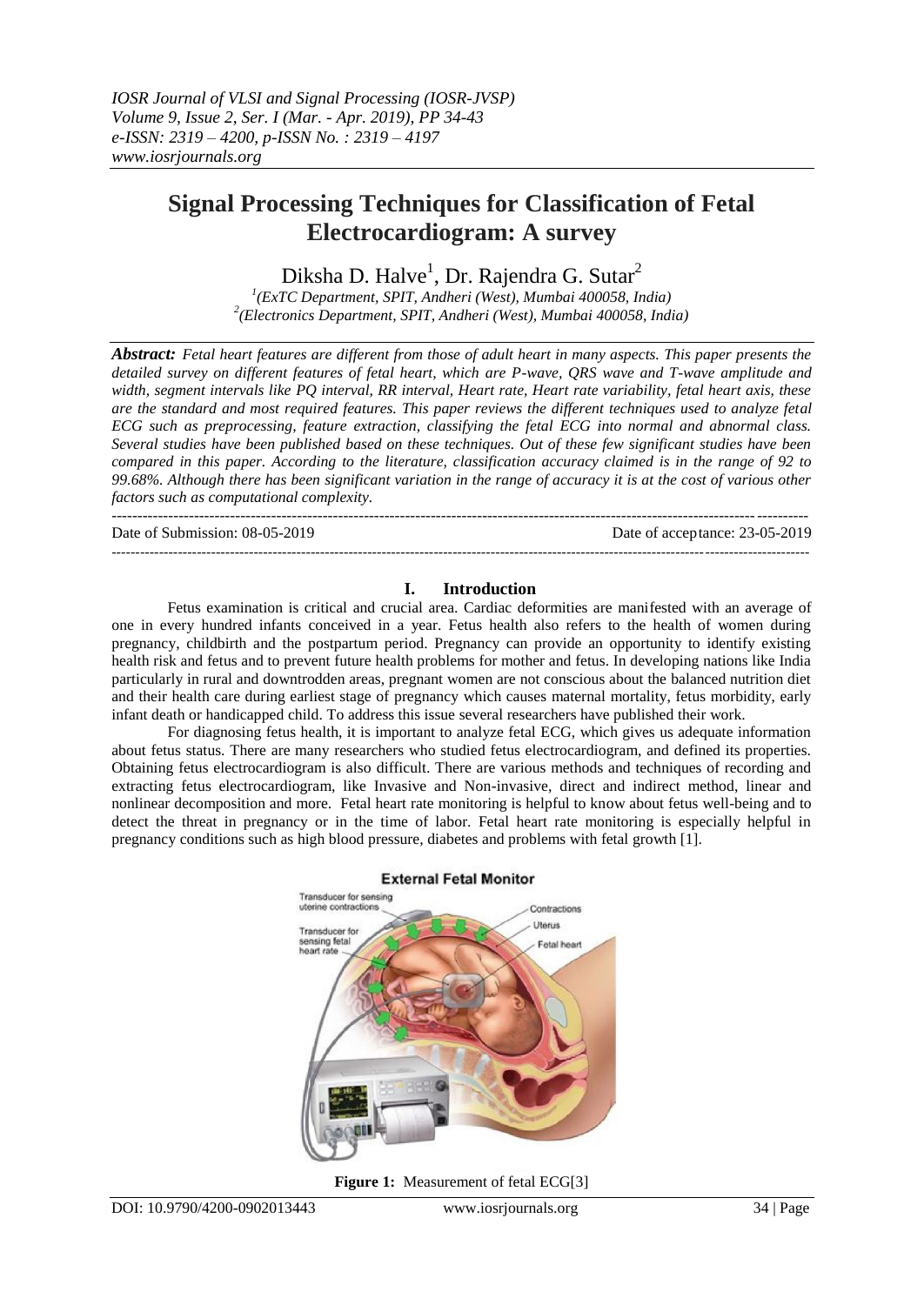# **Signal Processing Techniques for Classification of Fetal Electrocardiogram: A survey**

Diksha D. Halve<sup>1</sup>, Dr. Rajendra G. Sutar<sup>2</sup>

*1 (ExTC Department, SPIT, Andheri (West), Mumbai 400058, India) 2 (Electronics Department, SPIT, Andheri (West), Mumbai 400058, India)*

*Abstract: Fetal heart features are different from those of adult heart in many aspects. This paper presents the detailed survey on different features of fetal heart, which are P-wave, QRS wave and T-wave amplitude and width, segment intervals like PQ interval, RR interval, Heart rate, Heart rate variability, fetal heart axis, these are the standard and most required features. This paper reviews the different techniques used to analyze fetal ECG such as preprocessing, feature extraction, classifying the fetal ECG into normal and abnormal class. Several studies have been published based on these techniques. Out of these few significant studies have been compared in this paper. According to the literature, classification accuracy claimed is in the range of 92 to 99.68%. Although there has been significant variation in the range of accuracy it is at the cost of various other factors such as computational complexity.* 

---------------------------------------------------------------------------------------------------------------------------------------

Date of Submission: 08-05-2019 Date of acceptance: 23-05-2019

# ---------------------------------------------------------------------------------------------------------------------------------------------------

**I. Introduction**

Fetus examination is critical and crucial area. Cardiac deformities are manifested with an average of one in every hundred infants conceived in a year. Fetus health also refers to the health of women during pregnancy, childbirth and the postpartum period. Pregnancy can provide an opportunity to identify existing health risk and fetus and to prevent future health problems for mother and fetus. In developing nations like India particularly in rural and downtrodden areas, pregnant women are not conscious about the balanced nutrition diet and their health care during earliest stage of pregnancy which causes maternal mortality, fetus morbidity, early infant death or handicapped child. To address this issue several researchers have published their work.

For diagnosing fetus health, it is important to analyze fetal ECG, which gives us adequate information about fetus status. There are many researchers who studied fetus electrocardiogram, and defined its properties. Obtaining fetus electrocardiogram is also difficult. There are various methods and techniques of recording and extracting fetus electrocardiogram, like Invasive and Non-invasive, direct and indirect method, linear and nonlinear decomposition and more. Fetal heart rate monitoring is helpful to know about fetus well-being and to detect the threat in pregnancy or in the time of labor. Fetal heart rate monitoring is especially helpful in pregnancy conditions such as high blood pressure, diabetes and problems with fetal growth [1].



#### **External Fetal Monitor**

**Figure 1:** Measurement of fetal ECG[3]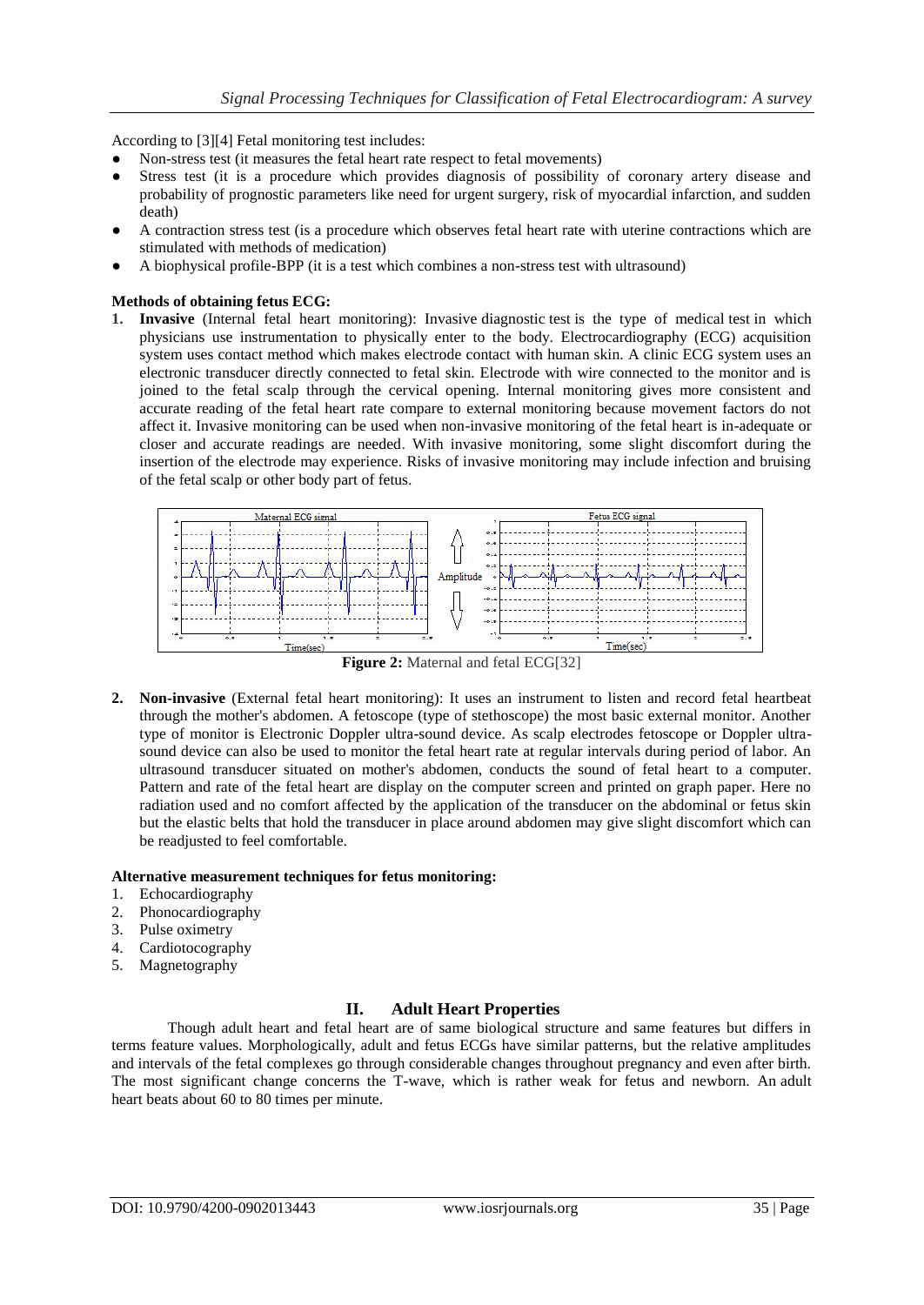According to [3][4] Fetal monitoring test includes:

- Non-stress test (it measures the fetal heart rate respect to fetal movements)
- Stress test (it is a procedure which provides diagnosis of possibility of coronary artery disease and probability of prognostic parameters like need for urgent surgery, risk of myocardial infarction, and sudden death)
- A contraction stress test (is a procedure which observes fetal heart rate with uterine contractions which are stimulated with methods of medication)
- A biophysical profile-BPP (it is a test which combines a non-stress test with ultrasound)

# **Methods of obtaining fetus ECG:**

**1. Invasive** (Internal fetal heart monitoring): Invasive diagnostic test is the type of medical test in which physicians use instrumentation to physically enter to the body. Electrocardiography (ECG) acquisition system uses contact method which makes electrode contact with human skin. A clinic ECG system uses an electronic transducer directly connected to fetal skin. Electrode with wire connected to the monitor and is joined to the fetal scalp through the cervical opening. Internal monitoring gives more consistent and accurate reading of the fetal heart rate compare to external monitoring because movement factors do not affect it. Invasive monitoring can be used when non-invasive monitoring of the fetal heart is in-adequate or closer and accurate readings are needed. With invasive monitoring, some slight discomfort during the insertion of the electrode may experience. Risks of invasive monitoring may include infection and bruising of the fetal scalp or other body part of fetus.



**Figure 2:** Maternal and fetal ECG[32]

**2. Non-invasive** (External fetal heart monitoring): It uses an instrument to listen and record fetal heartbeat through the mother's abdomen. A fetoscope (type of stethoscope) the most basic external monitor. Another type of monitor is Electronic Doppler ultra-sound device. As scalp electrodes fetoscope or Doppler ultrasound device can also be used to monitor the fetal heart rate at regular intervals during period of labor. An ultrasound transducer situated on mother's abdomen, conducts the sound of fetal heart to a computer. Pattern and rate of the fetal heart are display on the computer screen and printed on graph paper. Here no radiation used and no comfort affected by the application of the transducer on the abdominal or fetus skin but the elastic belts that hold the transducer in place around abdomen may give slight discomfort which can be readjusted to feel comfortable.

#### **Alternative measurement techniques for fetus monitoring:**

- 1. Echocardiography
- 2. Phonocardiography
- 3. Pulse oximetry
- 4. Cardiotocography
- 5. Magnetography

# **II. Adult Heart Properties**

Though adult heart and fetal heart are of same biological structure and same features but differs in terms feature values. Morphologically, adult and fetus ECGs have similar patterns, but the relative amplitudes and intervals of the fetal complexes go through considerable changes throughout pregnancy and even after birth. The most significant change concerns the T-wave, which is rather weak for fetus and newborn. An adult heart beats about 60 to 80 times per minute.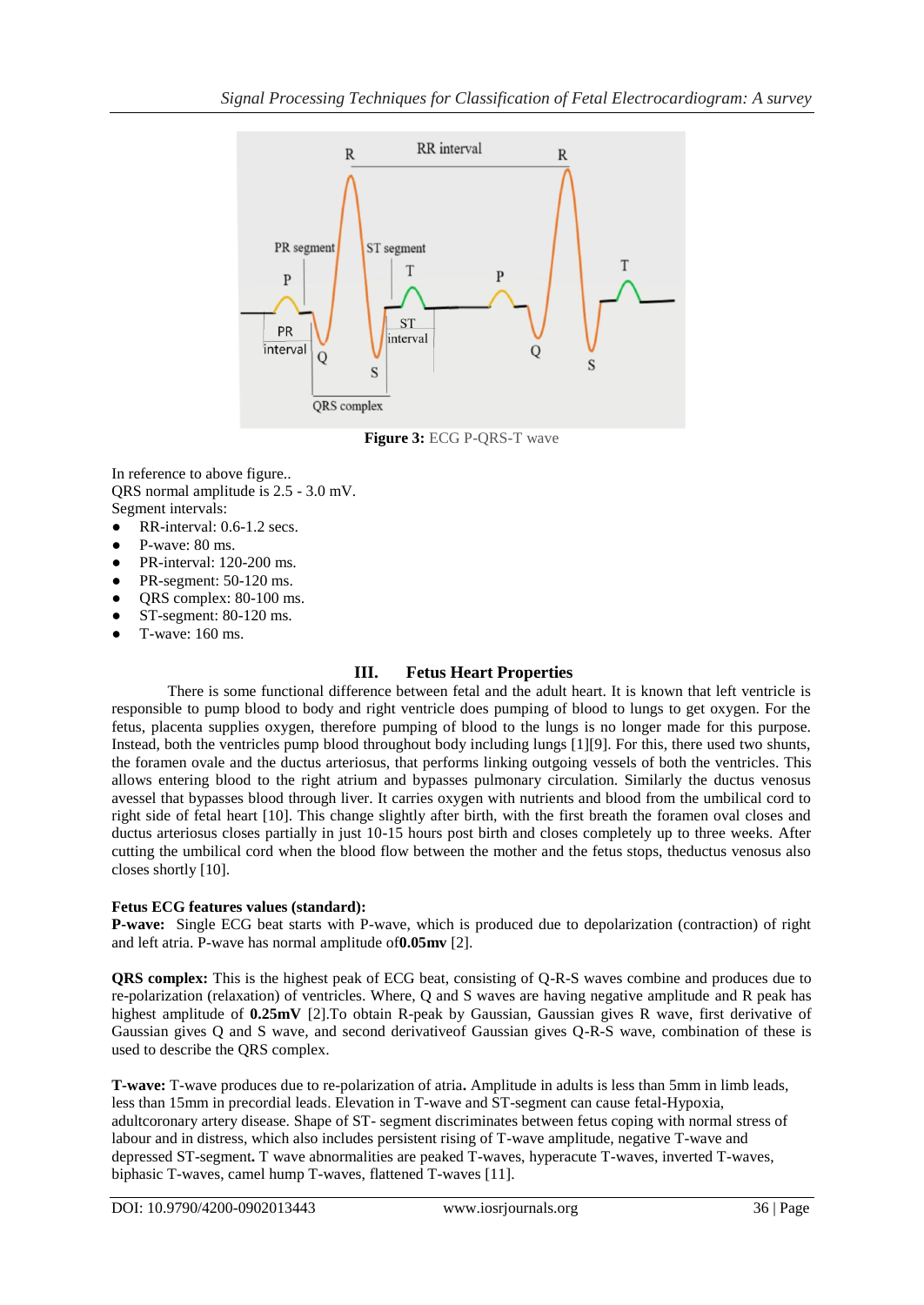

**Figure 3:** ECG P-QRS-T wave

In reference to above figure.. QRS normal amplitude is 2.5 - 3.0 mV. Segment intervals:

- RR-interval: 0.6-1.2 secs.
- P-wave:  $80 \text{ ms}$ .
- PR-interval: 120-200 ms.
- $\bullet$  PR-segment: 50-120 ms.
- QRS complex: 80-100 ms.
- ST-segment: 80-120 ms.
- T-wave: 160 ms.

# **III. Fetus Heart Properties**

There is some functional difference between fetal and the adult heart. It is known that left ventricle is responsible to pump blood to body and right ventricle does pumping of blood to lungs to get oxygen. For the fetus, placenta supplies oxygen, therefore pumping of blood to the lungs is no longer made for this purpose. Instead, both the ventricles pump blood throughout body including lungs [1][9]. For this, there used two shunts, the foramen ovale and the ductus arteriosus, that performs linking outgoing vessels of both the ventricles. This allows entering blood to the right atrium and bypasses pulmonary circulation. Similarly the ductus venosus avessel that bypasses blood through liver. It carries oxygen with nutrients and blood from the umbilical cord to right side of fetal heart [10]. This change slightly after birth, with the first breath the foramen oval closes and ductus arteriosus closes partially in just 10-15 hours post birth and closes completely up to three weeks. After cutting the umbilical cord when the blood flow between the mother and the fetus stops, theductus venosus also closes shortly [10].

# **Fetus ECG features values (standard):**

**P-wave:** Single ECG beat starts with P-wave, which is produced due to depolarization (contraction) of right and left atria. P-wave has normal amplitude of**0.05mv** [2].

**QRS complex:** This is the highest peak of ECG beat, consisting of Q-R-S waves combine and produces due to re-polarization (relaxation) of ventricles. Where, Q and S waves are having negative amplitude and R peak has highest amplitude of **0.25mV** [2].To obtain R-peak by Gaussian, Gaussian gives R wave, first derivative of Gaussian gives Q and S wave, and second derivativeof Gaussian gives Q-R-S wave, combination of these is used to describe the QRS complex.

**T-wave:** T-wave produces due to re-polarization of atria**.** Amplitude in adults is less than 5mm in limb leads, less than 15mm in precordial leads. Elevation in T-wave and ST-segment can cause fetal-Hypoxia, adultcoronary artery disease. Shape of ST- segment discriminates between fetus coping with normal stress of labour and in distress, which also includes persistent rising of T-wave amplitude, negative T-wave and depressed ST-segment**.** T wave abnormalities are peaked T-waves, hyperacute T-waves, inverted T-waves, biphasic T-waves, camel hump T-waves, flattened T-waves [11].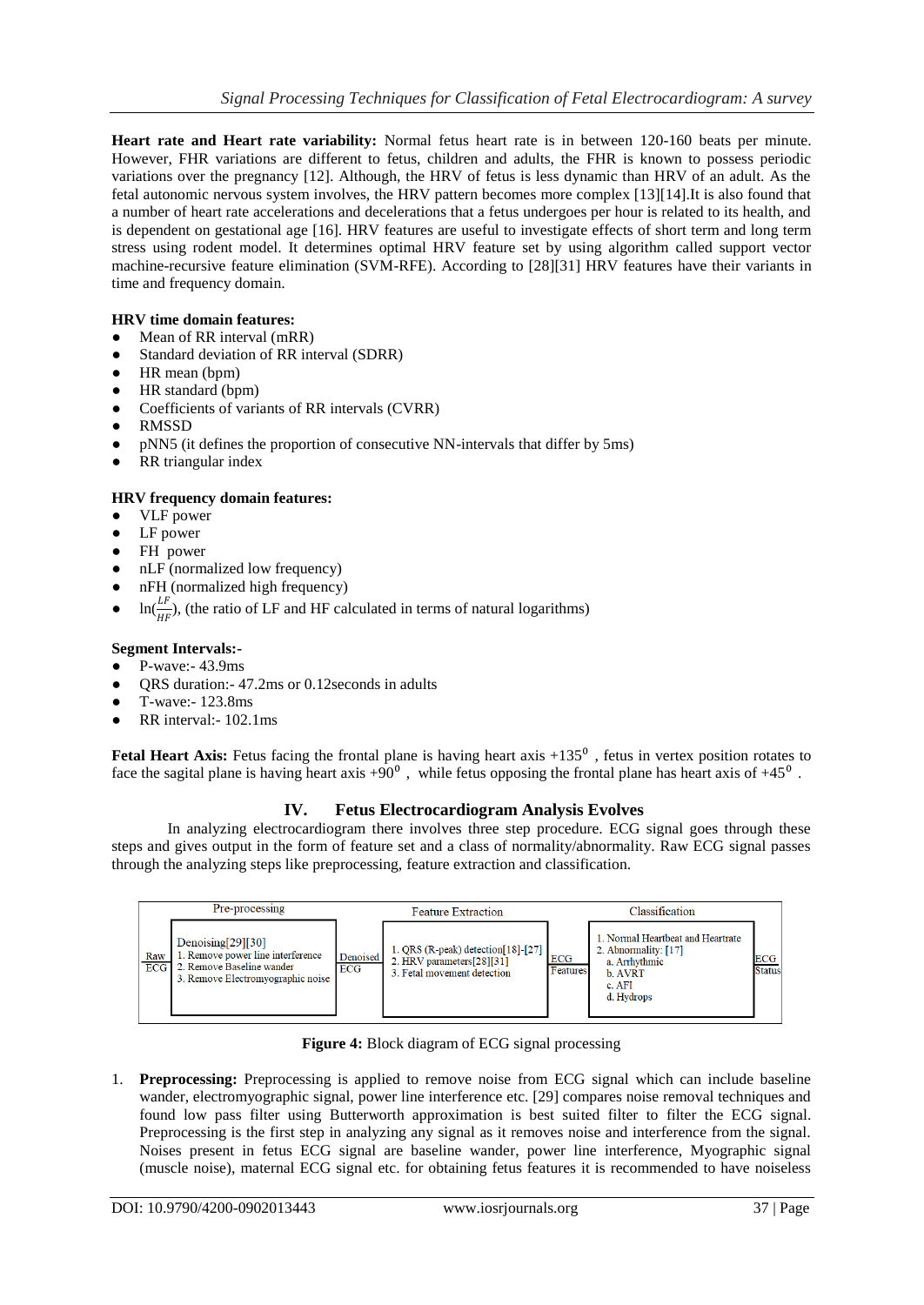**Heart rate and Heart rate variability:** Normal fetus heart rate is in between 120-160 beats per minute. However, FHR variations are different to fetus, children and adults, the FHR is known to possess periodic variations over the pregnancy [12]. Although, the HRV of fetus is less dynamic than HRV of an adult. As the fetal autonomic nervous system involves, the HRV pattern becomes more complex [13][14].It is also found that a number of heart rate accelerations and decelerations that a fetus undergoes per hour is related to its health, and is dependent on gestational age [16]. HRV features are useful to investigate effects of short term and long term stress using rodent model. It determines optimal HRV feature set by using algorithm called support vector machine-recursive feature elimination (SVM-RFE). According to [28][31] HRV features have their variants in time and frequency domain.

### **HRV time domain features:**

- Mean of RR interval (mRR)
- Standard deviation of RR interval (SDRR)
- HR mean (bpm)
- HR standard (bpm)
- Coefficients of variants of RR intervals (CVRR)
- RMSSD
- pNN5 (it defines the proportion of consecutive NN-intervals that differ by 5ms)
- RR triangular index

### **HRV frequency domain features:**

- VLF power
- LF power
- FH power
- nLF (normalized low frequency)
- nFH (normalized high frequency)
- $\ln(\frac{LF}{HF})$ , (the ratio of LF and HF calculated in terms of natural logarithms)

### **Segment Intervals:-**

- P-wave: 43.9ms
- ORS duration: 47.2ms or 0.12 seconds in adults
- T-wave:- 123.8ms
- RR interval:- 102.1ms

**Fetal Heart Axis:** Fetus facing the frontal plane is having heart axis +135<sup>0</sup>, fetus in vertex position rotates to face the sagital plane is having heart axis +90 $^{\circ}$ , while fetus opposing the frontal plane has heart axis of +45 $^{\circ}$ .

# **IV. Fetus Electrocardiogram Analysis Evolves**

In analyzing electrocardiogram there involves three step procedure. ECG signal goes through these steps and gives output in the form of feature set and a class of normality/abnormality. Raw ECG signal passes through the analyzing steps like preprocessing, feature extraction and classification.

| Pre-processing |                                                                                                                             |                        | <b>Feature Extraction</b>                                                                         |                        | Classification                                                                                                  |                             |
|----------------|-----------------------------------------------------------------------------------------------------------------------------|------------------------|---------------------------------------------------------------------------------------------------|------------------------|-----------------------------------------------------------------------------------------------------------------|-----------------------------|
| Raw<br>ECG     | Denoising $[29][30]$<br>1. Remove power line interference<br>2. Remove Baseline wander<br>3. Remove Electromyographic noise | Denoised<br><b>ECG</b> | 1. QRS (R-peak) detection $[18]-[27]$<br>2. HRV parameters[28][31]<br>3. Fetal movement detection | <b>ECG</b><br>Features | 1. Normal Heartbeat and Heartrate<br>2. Abnormality: [17]<br>a. Arrhythmic<br>b. AVRT<br>$c.$ AFI<br>d. Hydrops | <b>ECG</b><br><b>Status</b> |

| Figure 4: Block diagram of ECG signal processing |  |
|--------------------------------------------------|--|
|                                                  |  |

1. **Preprocessing:** Preprocessing is applied to remove noise from ECG signal which can include baseline wander, electromyographic signal, power line interference etc. [29] compares noise removal techniques and found low pass filter using Butterworth approximation is best suited filter to filter the ECG signal. Preprocessing is the first step in analyzing any signal as it removes noise and interference from the signal. Noises present in fetus ECG signal are baseline wander, power line interference, Myographic signal (muscle noise), maternal ECG signal etc. for obtaining fetus features it is recommended to have noiseless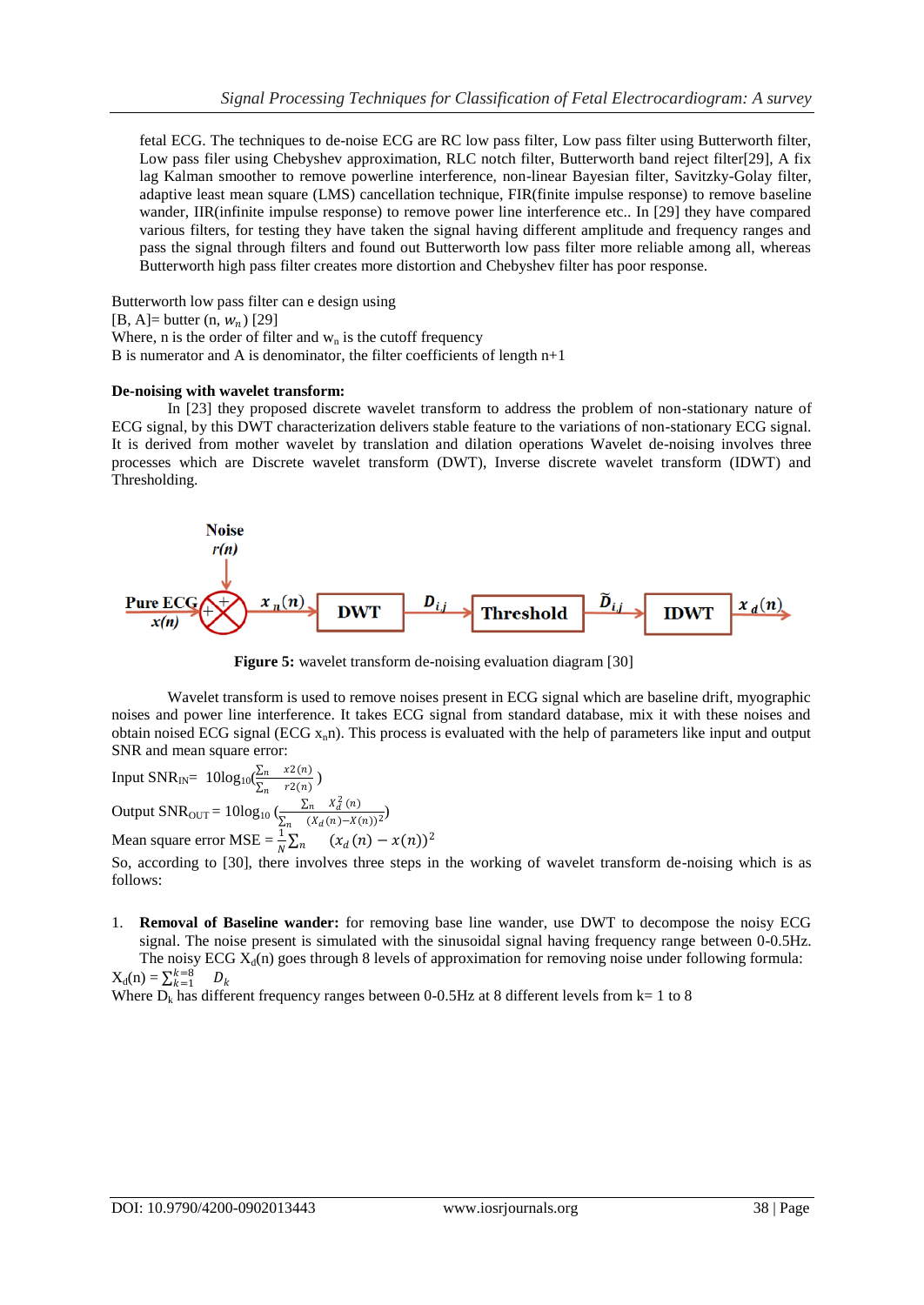fetal ECG. The techniques to de-noise ECG are RC low pass filter, Low pass filter using Butterworth filter, Low pass filer using Chebyshev approximation, RLC notch filter, Butterworth band reject filter[29], A fix lag Kalman smoother to remove powerline interference, non-linear Bayesian filter, Savitzky-Golay filter, adaptive least mean square (LMS) cancellation technique, FIR(finite impulse response) to remove baseline wander, IIR(infinite impulse response) to remove power line interference etc.. In [29] they have compared various filters, for testing they have taken the signal having different amplitude and frequency ranges and pass the signal through filters and found out Butterworth low pass filter more reliable among all, whereas Butterworth high pass filter creates more distortion and Chebyshev filter has poor response.

Butterworth low pass filter can e design using [B, A]= butter  $(n, w_n)$  [29] Where, n is the order of filter and  $w_n$  is the cutoff frequency B is numerator and A is denominator, the filter coefficients of length n+1

#### **De-noising with wavelet transform:**

In [23] they proposed discrete wavelet transform to address the problem of non-stationary nature of ECG signal, by this DWT characterization delivers stable feature to the variations of non-stationary ECG signal. It is derived from mother wavelet by translation and dilation operations Wavelet de-noising involves three processes which are Discrete wavelet transform (DWT), Inverse discrete wavelet transform (IDWT) and Thresholding.



**Figure 5:** wavelet transform de-noising evaluation diagram [30]

Wavelet transform is used to remove noises present in ECG signal which are baseline drift, myographic noises and power line interference. It takes ECG signal from standard database, mix it with these noises and obtain noised ECG signal (ECG  $x<sub>n</sub>$ n). This process is evaluated with the help of parameters like input and output SNR and mean square error:

Input SNR<sub>IN</sub>=  $10\log_{10}(\frac{\sum_{n} x2(n)}{\sum_{n} x2(n)}$  $\frac{\sum_{n} x_2(n)}{\sum_{n} r_2(n)}$ Output SNR<sub>OUT</sub> =  $10\log_{10} \left( \frac{\sum_{n} X_d^2(n)}{\sum_{n} (x_n - x_d)} \right)$  $\frac{\sum_{n} A_d(n)}{\sum_{n} (X_d(n)-X(n))^2}$ Mean square error MSE =  $\frac{1}{N} \sum_n$   $(x_d(n) - x(n))^2$ 

So, according to [30], there involves three steps in the working of wavelet transform de-noising which is as follows:

1. **Removal of Baseline wander:** for removing base line wander, use DWT to decompose the noisy ECG signal. The noise present is simulated with the sinusoidal signal having frequency range between 0-0.5Hz. The noisy ECG  $X_d(n)$  goes through 8 levels of approximation for removing noise under following formula:

 $X_d(n) = \sum_{k=1}^{k=8} D_k$ Where  $D_k$  has different frequency ranges between 0-0.5Hz at 8 different levels from k= 1 to 8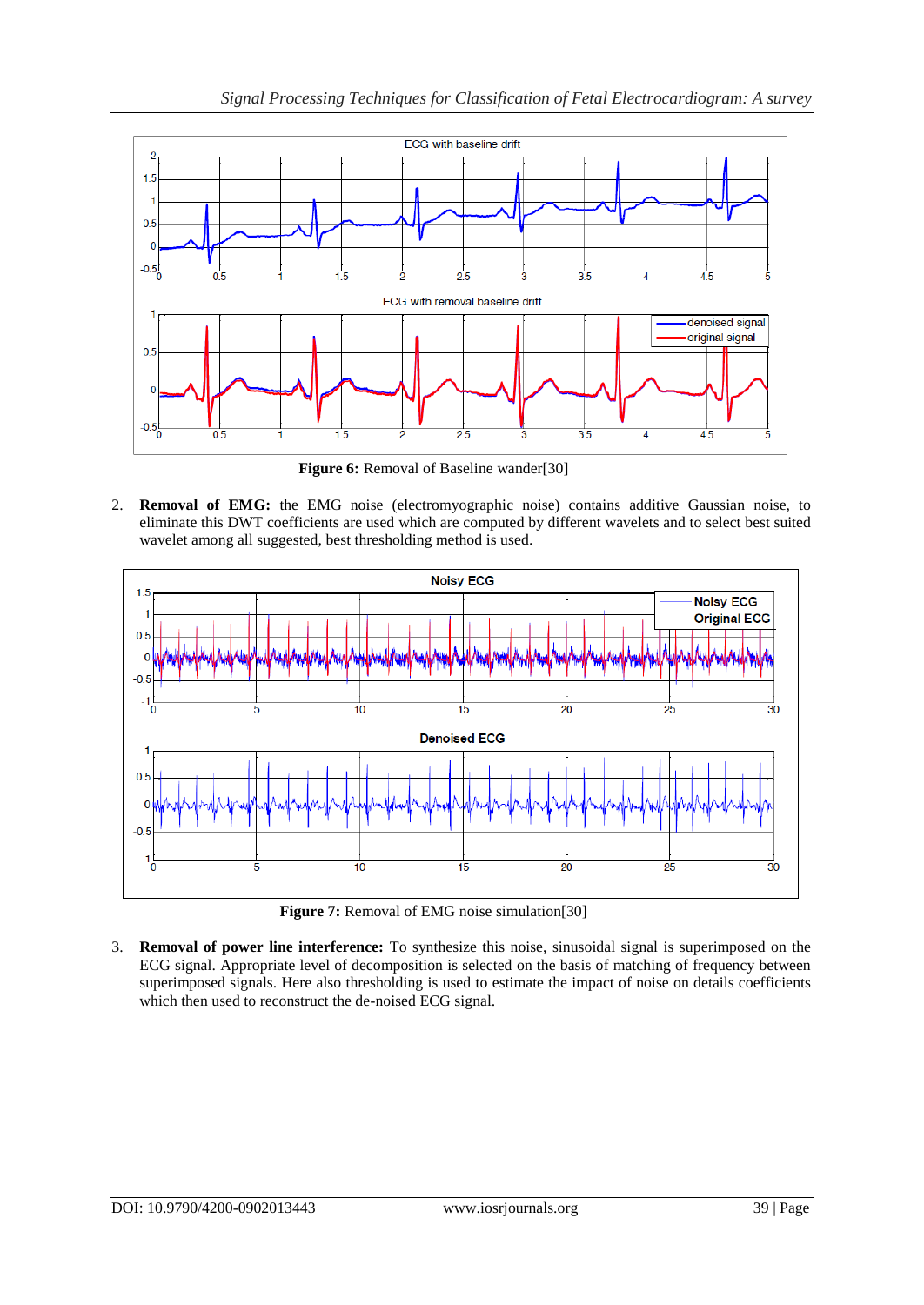

**Figure 6:** Removal of Baseline wander[30]

2. **Removal of EMG:** the EMG noise (electromyographic noise) contains additive Gaussian noise, to eliminate this DWT coefficients are used which are computed by different wavelets and to select best suited wavelet among all suggested, best thresholding method is used.



**Figure 7:** Removal of EMG noise simulation[30]

3. **Removal of power line interference:** To synthesize this noise, sinusoidal signal is superimposed on the ECG signal. Appropriate level of decomposition is selected on the basis of matching of frequency between superimposed signals. Here also thresholding is used to estimate the impact of noise on details coefficients which then used to reconstruct the de-noised ECG signal.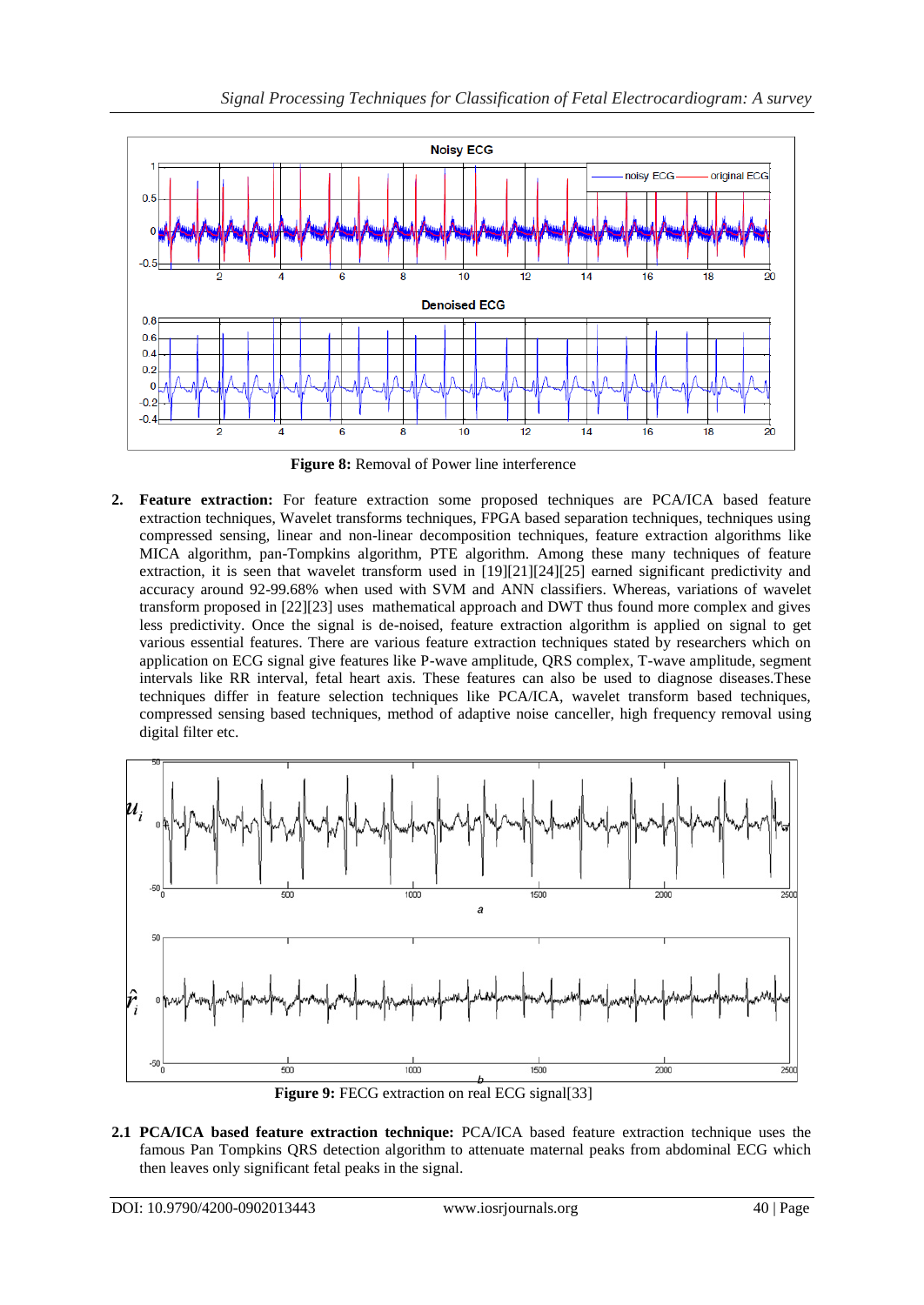

**Figure 8:** Removal of Power line interference

**2. Feature extraction:** For feature extraction some proposed techniques are PCA/ICA based feature extraction techniques, Wavelet transforms techniques, FPGA based separation techniques, techniques using compressed sensing, linear and non-linear decomposition techniques, feature extraction algorithms like MICA algorithm, pan-Tompkins algorithm, PTE algorithm. Among these many techniques of feature extraction, it is seen that wavelet transform used in [19][21][24][25] earned significant predictivity and accuracy around 92-99.68% when used with SVM and ANN classifiers. Whereas, variations of wavelet transform proposed in [22][23] uses mathematical approach and DWT thus found more complex and gives less predictivity. Once the signal is de-noised, feature extraction algorithm is applied on signal to get various essential features. There are various feature extraction techniques stated by researchers which on application on ECG signal give features like P-wave amplitude, QRS complex, T-wave amplitude, segment intervals like RR interval, fetal heart axis. These features can also be used to diagnose diseases.These techniques differ in feature selection techniques like PCA/ICA, wavelet transform based techniques, compressed sensing based techniques, method of adaptive noise canceller, high frequency removal using digital filter etc.



- Figure 9: FECG extraction on real ECG signal<sup>[33]</sup>
- **2.1 PCA/ICA based feature extraction technique:** PCA/ICA based feature extraction technique uses the famous Pan Tompkins QRS detection algorithm to attenuate maternal peaks from abdominal ECG which then leaves only significant fetal peaks in the signal.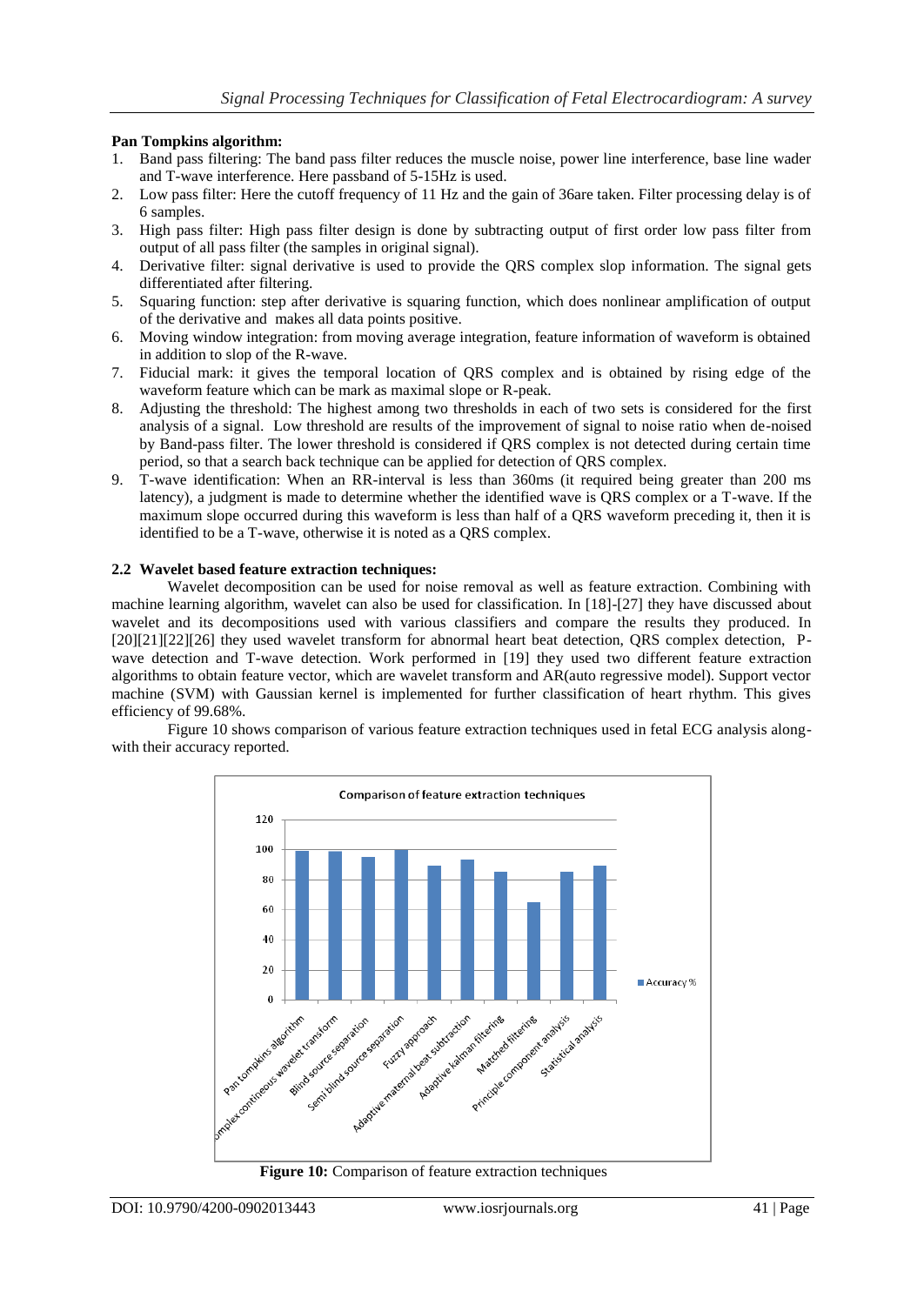### **Pan Tompkins algorithm:**

- 1. Band pass filtering: The band pass filter reduces the muscle noise, power line interference, base line wader and T-wave interference. Here passband of 5-15Hz is used.
- 2. Low pass filter: Here the cutoff frequency of 11 Hz and the gain of 36are taken. Filter processing delay is of 6 samples.
- 3. High pass filter: High pass filter design is done by subtracting output of first order low pass filter from output of all pass filter (the samples in original signal).
- 4. Derivative filter: signal derivative is used to provide the QRS complex slop information. The signal gets differentiated after filtering.
- 5. Squaring function: step after derivative is squaring function, which does nonlinear amplification of output of the derivative and makes all data points positive.
- 6. Moving window integration: from moving average integration, feature information of waveform is obtained in addition to slop of the R-wave.
- 7. Fiducial mark: it gives the temporal location of QRS complex and is obtained by rising edge of the waveform feature which can be mark as maximal slope or R-peak.
- 8. Adjusting the threshold: The highest among two thresholds in each of two sets is considered for the first analysis of a signal. Low threshold are results of the improvement of signal to noise ratio when de-noised by Band-pass filter. The lower threshold is considered if QRS complex is not detected during certain time period, so that a search back technique can be applied for detection of QRS complex.
- 9. T-wave identification: When an RR-interval is less than 360ms (it required being greater than 200 ms latency), a judgment is made to determine whether the identified wave is QRS complex or a T-wave. If the maximum slope occurred during this waveform is less than half of a QRS waveform preceding it, then it is identified to be a T-wave, otherwise it is noted as a QRS complex.

#### **2.2 Wavelet based feature extraction techniques:**

Wavelet decomposition can be used for noise removal as well as feature extraction. Combining with machine learning algorithm, wavelet can also be used for classification. In [18]-[27] they have discussed about wavelet and its decompositions used with various classifiers and compare the results they produced. In [20][21][22][26] they used wavelet transform for abnormal heart beat detection, QRS complex detection, Pwave detection and T-wave detection. Work performed in [19] they used two different feature extraction algorithms to obtain feature vector, which are wavelet transform and AR(auto regressive model). Support vector machine (SVM) with Gaussian kernel is implemented for further classification of heart rhythm. This gives efficiency of 99.68%.

Figure 10 shows comparison of various feature extraction techniques used in fetal ECG analysis alongwith their accuracy reported.



**Figure 10:** Comparison of feature extraction techniques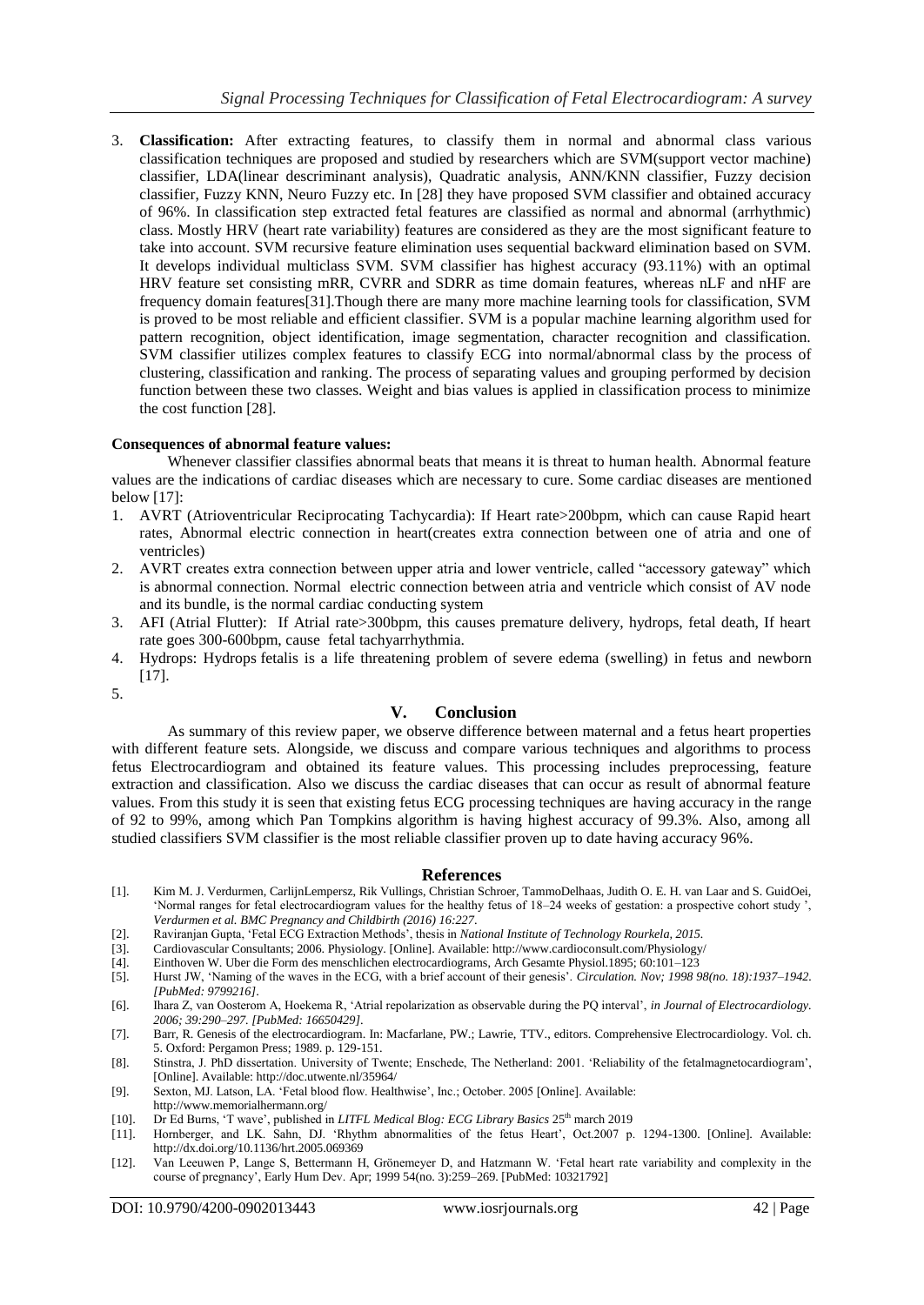3. **Classification:** After extracting features, to classify them in normal and abnormal class various classification techniques are proposed and studied by researchers which are SVM(support vector machine) classifier, LDA(linear descriminant analysis), Quadratic analysis, ANN/KNN classifier, Fuzzy decision classifier, Fuzzy KNN, Neuro Fuzzy etc. In [28] they have proposed SVM classifier and obtained accuracy of 96%. In classification step extracted fetal features are classified as normal and abnormal (arrhythmic) class. Mostly HRV (heart rate variability) features are considered as they are the most significant feature to take into account. SVM recursive feature elimination uses sequential backward elimination based on SVM. It develops individual multiclass SVM. SVM classifier has highest accuracy (93.11%) with an optimal HRV feature set consisting mRR, CVRR and SDRR as time domain features, whereas nLF and nHF are frequency domain features[31].Though there are many more machine learning tools for classification, SVM is proved to be most reliable and efficient classifier. SVM is a popular machine learning algorithm used for pattern recognition, object identification, image segmentation, character recognition and classification. SVM classifier utilizes complex features to classify ECG into normal/abnormal class by the process of clustering, classification and ranking. The process of separating values and grouping performed by decision function between these two classes. Weight and bias values is applied in classification process to minimize the cost function [28].

#### **Consequences of abnormal feature values:**

Whenever classifier classifies abnormal beats that means it is threat to human health. Abnormal feature values are the indications of cardiac diseases which are necessary to cure. Some cardiac diseases are mentioned below [17]:

- 1. AVRT (Atrioventricular Reciprocating Tachycardia): If Heart rate>200bpm, which can cause Rapid heart rates, Abnormal electric connection in heart(creates extra connection between one of atria and one of ventricles)
- 2. AVRT creates extra connection between upper atria and lower ventricle, called "accessory gateway" which is abnormal connection. Normal electric connection between atria and ventricle which consist of AV node and its bundle, is the normal cardiac conducting system
- 3. AFI (Atrial Flutter): If Atrial rate>300bpm, this causes premature delivery, hydrops, fetal death, If heart rate goes 300-600bpm, cause fetal tachyarrhythmia.
- 4. Hydrops: Hydrops fetalis is a life threatening problem of severe edema (swelling) in fetus and newborn  $[17]$ .
- 5.

### **V. Conclusion**

As summary of this review paper, we observe difference between maternal and a fetus heart properties with different feature sets. Alongside, we discuss and compare various techniques and algorithms to process fetus Electrocardiogram and obtained its feature values. This processing includes preprocessing, feature extraction and classification. Also we discuss the cardiac diseases that can occur as result of abnormal feature values. From this study it is seen that existing fetus ECG processing techniques are having accuracy in the range of 92 to 99%, among which Pan Tompkins algorithm is having highest accuracy of 99.3%. Also, among all studied classifiers SVM classifier is the most reliable classifier proven up to date having accuracy 96%.

#### **References**

- [1]. Kim M. J. Verdurmen, CarlijnLempersz, Rik Vullings, Christian Schroer, TammoDelhaas, Judith O. E. H. van Laar and S. GuidOei, "Normal ranges for fetal electrocardiogram values for the healthy fetus of 18–24 weeks of gestation: a prospective cohort study ", *Verdurmen et al. BMC Pregnancy and Childbirth (2016) 16:227*.
- [2]. Raviranjan Gupta, "Fetal ECG Extraction Methods", thesis in *National Institute of Technology Rourkela, 2015.*
- [3]. Cardiovascular Consultants; 2006. Physiology. [Online]. Available: http://www.cardioconsult.com/Physiology/
- [4]. Einthoven W. Uber die Form des menschlichen electrocardiograms, Arch Gesamte Physiol.1895; 60:101–123
- [5]. Hurst JW, "Naming of the waves in the ECG, with a brief account of their genesis". *Circulation. Nov; 1998 98(no. 18):1937–1942. [PubMed: 9799216]*.
- [6]. Ihara Z, van Oosterom A, Hoekema R, "Atrial repolarization as observable during the PQ interval", *in Journal of Electrocardiology. 2006; 39:290–297. [PubMed: 16650429]*.
- [7]. Barr, R. Genesis of the electrocardiogram. In: Macfarlane, PW.; Lawrie, TTV., editors. Comprehensive Electrocardiology. Vol. ch. 5. Oxford: Pergamon Press; 1989. p. 129-151.
- [8]. Stinstra, J. PhD dissertation. University of Twente; Enschede, The Netherland: 2001. "Reliability of the fetalmagnetocardiogram", [Online]. Available[: http://doc.utwente.nl/35964/](http://doc.utwente.nl/35964/)
- [9]. Sexton, MJ. Latson, LA. 'Fetal blood flow. Healthwise', Inc.; October. 2005 [Online]. Available: <http://www.memorialhermann.org/>
- [10]. Dr Ed Burns, "T wave", published in *LITFL Medical Blog: ECG Library Basics* 25th march 2019
- [11]. Hornberger, and LK. Sahn, DJ. "Rhythm abnormalities of the fetus Heart", Oct.2007 p. 1294-1300. [Online]. Available: <http://dx.doi.org/10.1136/hrt.2005.069369>
- [12]. Van Leeuwen P, Lange S, Bettermann H, Grönemeyer D, and Hatzmann W. "Fetal heart rate variability and complexity in the course of pregnancy", Early Hum Dev. Apr; 1999 54(no. 3):259–269. [PubMed: 10321792]